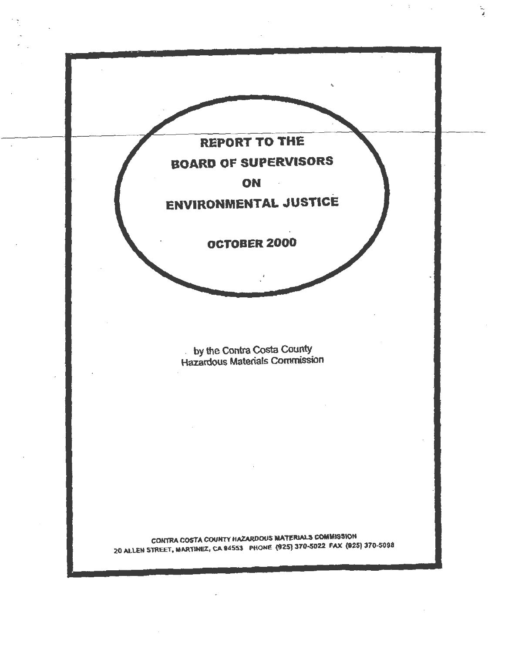

- '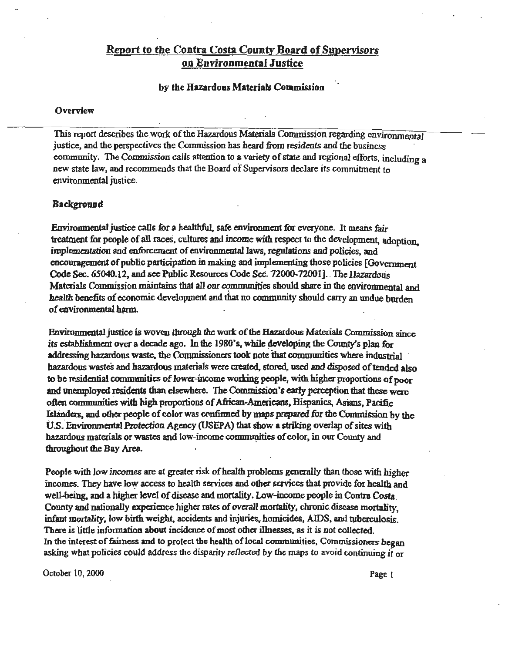# **Report** *to* **the Contra Costa County Board of Supervisors on Environmental Justice**

## by the Hazardous Materials Commission

#### **Overview**

This report describes the work of the Hazardous Materials Commission regarding environmental justice, and the pexspectives the Connnission bas heard from residents and the business community. The Commission calls attention to a variety of state and regional efforts, including a new state law, and recommends that the Board of Supervisors declare its commitment to environmental justice.

# **Background**

Enviromnental justice calls for a healthful. safe environment for everyone. *It* means fair treatment for people of all races, cultures and income with respect to the development, adoption, implementation and enforcement of environmental laws, regulations and policies, and encouragement of public participation in making and implementing those policies (Govermnem Code Sec. 65040.12, and see Public Resources Code *Sec.* 72000-72001]. The Hazardous Materials Commission maintains that all our communities should share in the environmental and health benefits of economic development and that no community should carry an undue burden of environmental harm.

Environmental justice is woven through the work of the Hazardous Materials Commission since its establishment over a decade ago. In the 1980's, while developing the County's plan for addressing hazardous waste, the Commissioners took note that communities where industrial hazardous wastes and hazardous materials were created, stored, used and disposed of tended also to be residential communities of lower-income working people, with higher proportions of poor and unemployed residents than elsewhere. The Commission's early perception that these were often communities with high proportions of Afiican-Americaos, Hispanics, Asians, Pacific Islanders, and other people of color was confirmed by maps prepared for the Commission by the U.S. Environmental Protection Agency (USEPA) that show a striking overlap of sites with hazardous materials or wastes and low-income communities of color, in our County and throughout the Bay Area.

People with low incomes are at greater risk of health problems generally than those with higher incomes. They have low access to health services and other services that provide for health and well-being. and a higher level of disease and mortality. Low-income people in Contra Costa. County and nationally experience higher rates of overall mortality, chronic disease mortality, infant mortality, low birth weight, accidents and injuries, homicides, AIDS, and tuberculosis. There is little information about incidence of most other illnesses, as it is not collected. In the interest of fairness and to protect the health of local communities, Commissioners began asking what policies could address the disparity reflected by the maps to avoid continuing it or

October 10, 2000 Page 1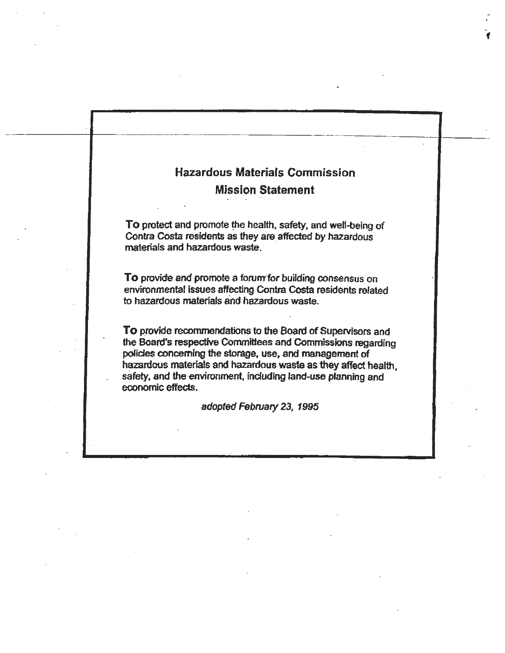# Hazardous Materials Commission **Mission Statement**

**f** 

To protect and promote the health, safety, and well-being of Contra Costa residents as they are affected by hazardous materials and hazardous waste.

**To** provide and promote a forum for building consensus on environmental issues affecting Contra Costa residents related to hazardous materials and hazardous waste.

To provide recommendations to the Board of Supervisors and the Board's respective Committees and Commissions regarding policies concerning the storage, use, and management of hazardous materials and hazardous waste as they affect health. safety, and the environment, including land-use planning and economic effects.

adopted February 23, 1995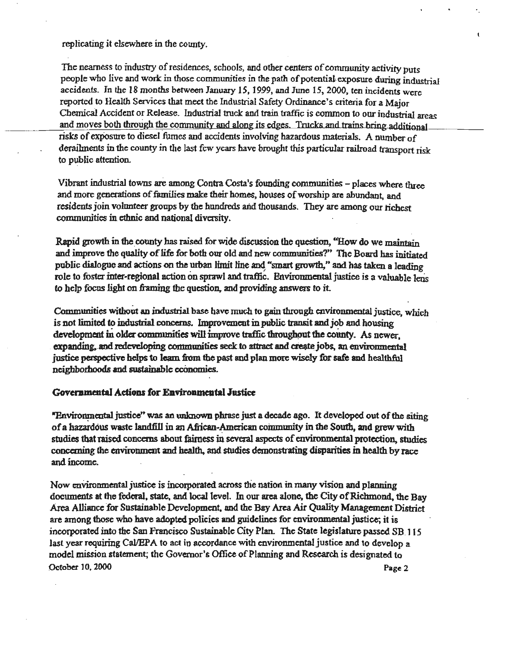replicating it elsewhere in the county.

The nearness to industry of residences, schools, and other centers of community activity puts people who live and work in those communities in the path of potential-exposure during industrial accidents. In the 18 months between January *IS,* 1999, and June 15, 2000, ten incidents were reported to Health Services that meet the Industrial Safety Ordinance's criteria for a Major Chemical Accident or Release. Industrial truck and train traffic is common to our industrial areas and moves both through the conununity and along its edges. Tmcks and trains bring additional risks of exposure to diesel fumes and accidents involving hazardous materials. A number of derailments in the county in the last few years have brought this particular railroad transport risk to public attention.

Vibrant industrial towns are among Contra Costa's founding communities - places where three and more generations of families make their homes, houses of worship are abundant, and residents join volunteer groups by the hundreds and thousands. They are among our richest communities in ethnic and national diversity.

Rapid growth in the county has raised for wide discussion the question, "How do we maintain and improve the quality of life for both our old and new communities?" The Board has initiated public dialogue and actions on the urban limit line and "smart growth," and bas taken a leading • *<sup>I</sup>* role to fosta inter-regional action on sprawl and traffic. Environmental justice is a valuable lens to help focus light on framing the question, and providing answers to it.

Communities without an industrial base have much to gain through environmental justice, which is not limited to industrial concerns. Improvement in public transit and job and housing development in older communities will improve traffic throughout the county. As newer. expanding, and redeveloping communities seek to attract and create jobs, an environmental justice perspective helps to learn from the past and plan more wisely for safe and healthful neighborhoods and sustainable economies.

## **Governmental Actions for Environmental Justice**

"Environmental justice" was an unknown phrase just a decade ago. It developed out of the siting of a hazardous waste landfill in an African-American community in the South, and grew with studies that raised concerns about fairness in several aspects of environmental protection, studies conccming the environment and health, and studies demonstrating disparities in health by race and.income.

Now environmental justice is incorporated across the nation in many vision and planning documents at the federal, state, and local level. In our area alone, the City of Richmond, the Bay Area Alliance for Sustainable Development, and the Bay Area Air Quality Management District are among those who have adopted policies and guidelines for environmental justice; it is incorporated into the San Francisco Sustainable City Plan. The State legislature passed SB. 115 last year requiring Cal/EPA to act in accordance with environmental justice and to develop a model mission statement; the Governor'& Office of Planning and Research is designated to October 10, 2000 Page 2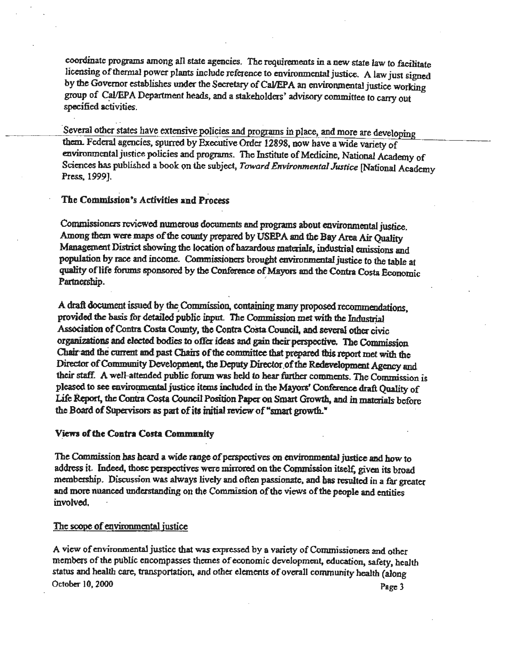coordinate programs among all state agencies. The requirements in a new state law to facilitate licensing of thermal power plants include reference to environmental justice. A law just signed by the Governor establishes under the Secretary of Cal/EPA an environmental justice working group of Cal/EPA Department heads, and a stakeholders' advisory committee to carry out specified activities.

**·several** other states have extensive policies and programs in place, and more are developing them. Federal agencies, spurred by Executive Order 12898, now have a wide variety of environmental justice policies and programs. The Institute of Medicine, National Academy of Sciences has published a book on the subject, *Toward Environmental Justice* [National Academy Press, 1999].

# The Commission's Activities and Process

Commissione:s reviewed nwnerous documents and programs about environmental justice. Among them were maps of the county prepared by USEPA and the Bay Area Air Quality Management District showing the location of hazardous materials, industrial emissions and population by race and income. Commissioners brought environmental justice *to* the table at quality of life forums sponsored by the Conference of Mayors and the Contra Costa Economic Partnership. **Example 2018** 

A draft document issued by the. Commission, containing many proposed recommendations, provided the basis for detailed public input. The Commission met with the Industrial Association of Contra Costa County, the Contra Costa Council, and several other civic organizations and elected bodies to offer ideas and gain their perspective. The Commission Chair'and the current and past Chairs of the committee that prepared tbis report met with the Director of Community Development, the Deputy **Director.of** the Redevelopment Agency and their staff. A well-attended public forum was held to hear further comments. The Commission is pleased to see cnviromncntal justice items included in the Mayors' Conference draft Quality of Life Report, the Contra Costa Council Position Paper on Smart Growth, and in materials before the Board of Supervisors as part of its initial review of "smart growth."

#### *Views* **of the Contra Costa Comnmnity**

The Commission has heard a wide range of perspectives on environmental justice and how to address it. Indeed, those perspectives were mirrored on the Commission itself, given its broad membership. Discussion was always lively and often passionate, and has resulted in a far greater and more nuanced undecstanding on the Commission of the views of the people and entities involved.

## The scope of environmental justice

A view of environmental justice that was expressed by a variety of Commissioners and other members of the public encompasses themes of economic development, education, safety, health status and health care, transportation, and other elements of overall community health (aJong October 10, 2000 Page 3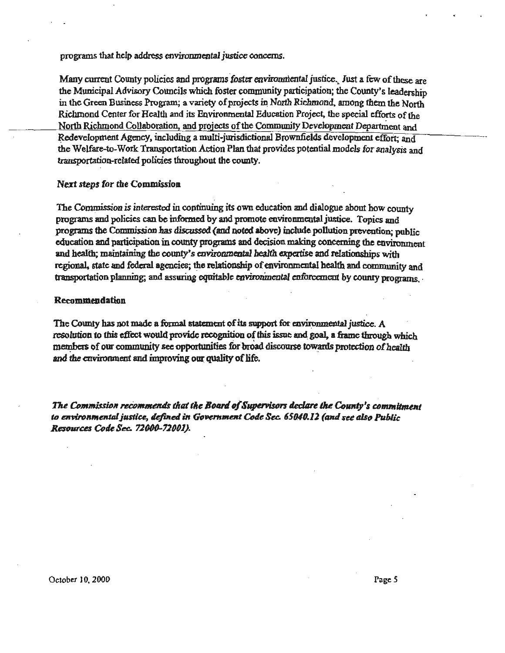programs that help address environmental justice concerns.

Many current County policies and programs foster environmental justice. Just a few of these are the Municipal Advisory Councils which foster community participation; the County's leadership in the Green Business Program; a variety of projects in North Richmond, among them the North Richmond Center for Health and its Environmental Education Project, the special efforts of the North Richmond Collaboration, and projects of the Community Development Department and Redevelopment Agency, including a multi-jurisdictional Brownfields development effort; and the Welfare-to-Work Transportation Action Plan that provides potential models for analysis and transportation-related policies throughout the county.

#### **Next steps for the Commission**

The Commission is interested in continuing its own education and dialogue about how county programs and policies can be informed by and promote environmental justice. Topics and programs the Commission has discussed (and noted above) include pollution prevention; public education and participation in county programs and decision making concerning the environment and health; maintaining the county's environmental health expertise and relationships with regional, state and federal agencies; the relationship of environmental health and community and transportation planning; and assuring equitable environmental enforcement by county programs.

#### Recommendation

The County has not made a formal statement of its support for environmental justice. A resolution to this effect would provide recognition of this issue and goal, a frame through which members of our community see opportunities for broad discourse towards protection of health and the environment and improving our quality of life.

The Commission recommends that the Board of Supervisors declare the County's commitment to environmental justice, defined in Government Code Sec. 65040.12 (and see also Public Resources Code Sec. 72000-72001).

October 10, 2000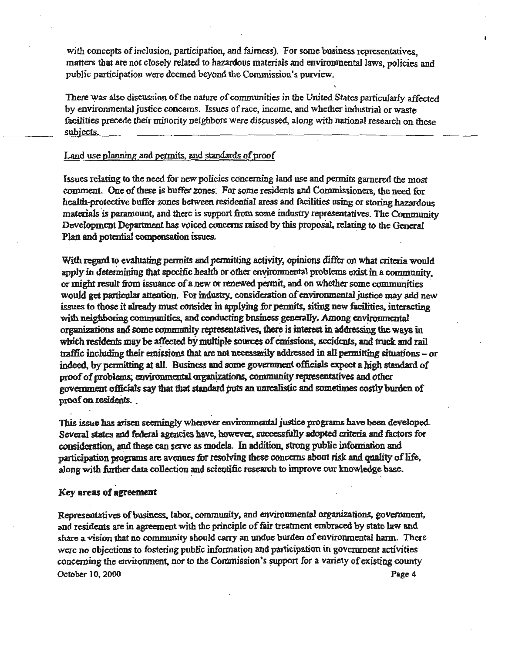with concepts of inclusion, participation, and fairness). For some business representatives. matters that are not closely related to hazardous materials and environmental laws, policies and public participation were deemed beyond the Commission's purview.

There was also discussion of the nature of communities in the United States particularly affected by environmental justice concerns. Issues of race, income, and whelher industrial or waste facilities precede their minority neighbors were discussed, along with national research on these subiects.

## Land use planning and permits, and standards of proof

Issues relating to the need for new policies concerning land use and permits garnered the most comment. One of these is buffer zones: For some residents and Commissioners, the need for health-protective buffer zones between residential areas and facilities using or storing hazardous materials is paramount, and there is support from some industry representatives. The Community Development Department has voiced concerns raised by this proposal, relating to the General Plan and potential compensation issues.

With regard to evaluating permits and permitting activity, opinions differ on what criteria would apply in determining that specific health or other environmental problems exist in a community, or might result from issuance of a new or renewed permit, and on whether some communities would get particular attention. For industry, consideration of environmental justice may add new issues to those it already must consider in applying for permits, siting new facilities, interacting with neighboring communities, and conducting business generally. Among environmental organizations and some community representatives, there is interest in addressing the ways in which residents may be affected by multiple sources of emissions, accidents, and truck and rail traffic including their emissions that are not necessarily addressed in all permitting situations - or indeed, by pennitting at all. Business and some government officials expect a high standard of proof of problems; environmental organizations, community representatives and other government officials say that that standard puts an unrealistic and sometimes costly burden of proof on residents.

This issue has arisen seemingly wherever environmental justice programs have been developed Several states and federal agencies have, however, successfully adopted criteria and factors for consideration, and these can serve as models. In addition, strong public information and participation programs are avenues for resolving these concerns about risk and quality of life, along with further data collection and scientific research to improve our knowledge base.

#### Key areas of **agreement**

Representatives of business. labor, community, and environmental organi2.ations, government. and residents are in agreement with the principle of fair treatment embraced by state law and share a vision that no community should carry an undue burden of environmental harm. There were no objections to fostering public information and participation in government activities concerning the environment, nor to the Commission's support for a variety of existing county October JO, 2000 **Page** 4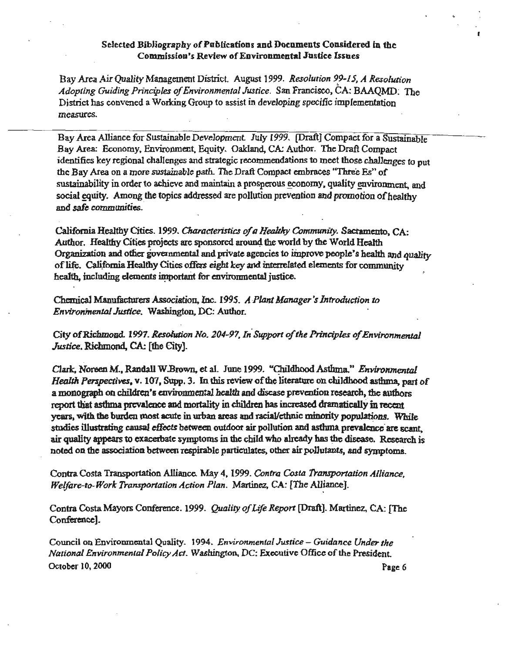# Selected Bibliography of Publications and Documents Considered in the **Commission's Review of Environmental Justice Issues**

Bay Area Air Quality Management District. August 1999. Resolution 99-15, A Resolution Adopting Guiding Principles of Environmental Justice. San Francisco, CA: BAAQMD. The District has convened a Working Group to assist in developing specific implementation measures.

Bay Area Alliance for Sustainable Development. July 1999. [Draft] Compact for a Sustainable Bay Area: Economy, Environment, Equity. Oakland, CA: Author. The Draft Compact identifies key regional challenges and strategic recommendations to meet those challenges to put the Bay Area on a more sustainable path. The Draft Compact embraces "Three Es" of sustainability in order to achieve and maintain a prosperous economy, quality environment, and social equity. Among the topics addressed are pollution prevention and promotion of healthy and safe communities.

California Healthy Cities. 1999. Characteristics of a Healthy Community. Sacramento, CA: Author. Healthy Cities projects are sponsored around the world by the World Health Organization and other governmental and private agencies to improve people's health and quality of life. California Healthy Cities offers eight key and interrelated elements for community health, including elements important for environmental justice.

Chemical Manufacturers Association, Inc. 1995. A Plant Manager's Introduction to Environmental Justice. Washington, DC: Author.

City of Richmond. 1997. Resolution No. 204-97, In Support of the Principles of Environmental Justice, Richmond, CA: [the City].

Clark, Noreen M., Randall W.Brown, et al. June 1999. "Childhood Asthma." Environmental Health Perspectives, v. 107, Supp. 3. In this review of the literature on childhood asthma, part of a monograph on children's environmental health and disease prevention research, the authors report that asthma prevalence and mortality in children has increased dramatically in recent years, with the burden most acute in urban areas and racial/ethnic minority populations. While studies illustrating causal effects between outdoor air pollution and asthma prevalence are scant. air quality appears to exacerbate symptoms in the child who already has the disease. Research is noted on the association between respirable particulates, other air pollutants, and symptoms.

Contra Costa Transportation Alliance. May 4, 1999. Contra Costa Transportation Alliance. Welfare-to-Work Transportation Action Plan. Martinez, CA: [The Alliance].

Contra Costa Mayors Conference. 1999. Quality of Life Report [Draft]. Martinez, CA: [The Conference].

Council on Environmental Quality. 1994. Environmental Justice - Guidance Under the National Environmental Policy Act. Washington, DC: Executive Office of the President. October 10, 2000

Page 6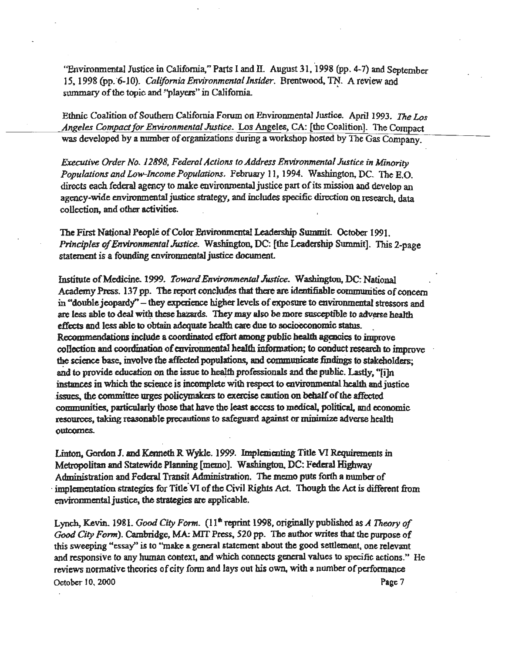"Environmental Justice in California," Parts I and II. August 31, 1998 (pp. 4-7) and September 15, 1998 (pp. 6-10). California Environmental Insider. Brentwood, TN. A review and summary of the topic and "players" in California.

Ethnic Coalition of Southern California Forum on Environmental Justice. April 1993. The Los Angeles Compact for Environmental Justice. Los Angeles, CA: [the Coalition]. The Compact was developed by a number of organizations during a workshop hosted by The Gas Company.

Executive Order No. 12898, Federal Actions to Address Environmental Justice in Minority Populations and Low-Income Populations. February 11, 1994. Washington, DC. The E.O. directs each federal agency to make environmental justice part of its mission and develop an agency-wide environmental justice strategy, and includes specific direction on research, data collection, and other activities.

The First National People of Color Environmental Leadership Summit. October 1991. Principles of Environmental Justice. Washington, DC: [the Leadership Summit]. This 2-page statement is a founding environmental justice document.

Institute of Medicine. 1999. Toward Environmental Justice. Washington, DC: National Academy Press. 137 pp. The report concludes that there are identifiable communities of concern in "double jeopardy" – they experience higher levels of exposure to environmental stressors and are less able to deal with these hazards. They may also be more susceptible to adverse health effects and less able to obtain adequate health care due to socioeconomic status. Recommendations include a coordinated effort among public health agencies to improve collection and coordination of environmental health information; to conduct research to improve the science base, involve the affected populations, and communicate findings to stakeholders; and to provide education on the issue to health professionals and the public. Lastly, "film instances in which the science is incomplete with respect to environmental health and justice issues, the committee urges policymakers to exercise caution on behalf of the affected communities, particularly those that have the least access to medical, political, and economic resources, taking reasonable precautions to safeguard against or minimize adverse health outcomes.

Linton, Gordon J. and Kenneth R Wykle. 1999. Implementing Title VI Requirements in Metropolitan and Statewide Planning [memo]. Washington, DC: Federal Highway Administration and Federal Transit Administration. The memo puts forth a number of implementation strategies for Title VI of the Civil Rights Act. Though the Act is different from environmental justice, the strategies are applicable.

Lynch, Kevin. 1981. Good City Form. (11<sup>th</sup> reprint 1998, originally published as A Theory of Good City Form). Cambridge, MA: MIT Press, 520 pp. The author writes that the purpose of this sweeping "essay" is to "make a general statement about the good settlement, one relevant and responsive to any human context, and which connects general values to specific actions." He reviews normative theories of city form and lays out his own, with a number of performance October 10, 2000 Page 7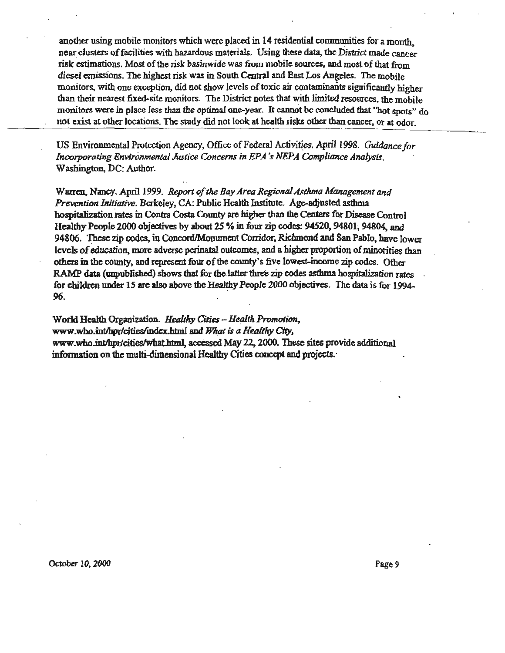another using mobile monitors which were placed in  $14$  residential communities for a month, near clusters of facilities with hazardous materials. Using these data, the District made cancer risk estimations. Most of the risk basinwide was from mobile sources, and most of that from diesel emissions. The highest risk was in South Central and East Los Angeles. The mobile monitors, with one exception, did not show levels of toxic air contaminants significantly higher than their nearest fixed-site monitors. The District notes that with limited resources, the mobile monitors were in place less than the optimal one-year. It cannot be concluded that "hot spots"  $d_0$ not exist at other locations. The study did not look at health risks other than cancer, or at odor.

US Environmental Protection Agency, Office of Federal Activities. April 1998. *Guidance for Incorporating Environmental Justice Concerns in EPA 's NEPA Compliance Analysis.*  Washington, DC: Author.

Warren, Nancy. April 1999. *Report of the Bay Area Regional Asthma Management and Prevention Initiative.* Berkeley, CA: Public Health Institute. Age-adjusted asthma hospitalization rates in Contra Costa County are higher than the Centers for Disease Control Healthy People 2000 objectives by about 2S % in four zip codes: 94520, 94801, 94804, and 94806. These zip codes, in Concord/Monument Corridor, Richmond and San Pablo, have lower levels of education, more adverse perinatal outcomes, and a higher proportion of minorities than others in the county, and represent four of the county's five lowest-income zip codes. Other RAMP data (unpublished) shows that for the latter three zip codes asthma hospitalization rates for children under 15 are also above the Healthy People 2000 objectives. The data is for 1994-96.

World Heal1h Organization. *Healthy Cities- Health Promotion,*  www.who.int/hpr/cities/index.html and What is a Healthy City, www.who.int/hpr/cities/what.html, accessed May 22, 2000. These sites provide additional infonnation on the multi-dimensional Healthy Cities concept and projects.·

October 10, 2000 Page 9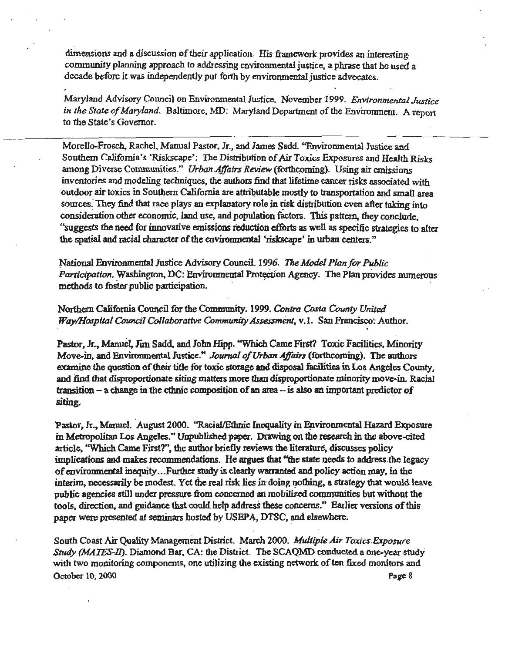dimensions and a discussion of their application. His framework provides an interesting· community planning approach to addressing environmental justice, a phrase that he used a decade before it was independently put forth by environmental justice advocates.

Maryland Advisory Council on Environmental Justice. November-1999. *Environmental Justice in the State of Maryland.* Baltimore, MD: Maryland Department of the Environment. A report to the State's Governor.

Morello-Frosch, Rachel, Manual Pastor, Jr., and James Sadd. "Environmental Justice and Southern California's 'Riskscape': The Distribution of Air Toxics Exposures and Health Risks among Diverse Communities." *Urban Affairs Review* (forthcoming). Using air emissions inventories and modeling techniques, the authors find that lifetime cancer risks associated with outdoor air toxics in Southern California are attributable mostly to transportation and small area sources. They find that race plays an explanatory role in risk distribution even after taking into consideration other economic. land use, and population factors. This pattcm, they conclude, '<suggests the need for innovative emissions reduction efforts as well as specific strategies to alter the spatial and racial character of the environmental 'riskscape' in urban centers."

;National F.nvironmcntal Justice Advisory Council. 1996. *Tl,e Model Plan for Public*  Participation. Washington, DC: Environmental Protection Agency. The Plan provides numerous methods to foster public participation.

Northern California Council for the Community. 1999. Contra Costa County United *Way/Hospital Council Collaborative Community Assessment, v.1.* San Francisco: Author.

Pastor, Jr., Manuel, Jim Sadd, and John Hipp. "Which Came First? Toxic Facilities, Minority Move-in, and Environmental Justice." *Journal of Urban Affairs* (forthcoming). The authors examine the question of their title for toxic storage and disposal facilities in Los Angeles Comity, and find that disproportionate siting matters more than disproportionate minority move-in. Racial. transition - a change in the ethnic composition of an area -- is also an important predictor of siting.

'

Pastor, Jr., Manuel. August 2000. "Racial/Ethnic Inequality in Environmental Hazard Exposure in Metropolitan Los Angeles." Unpublished paper. Drawing on the research in the above-cited article, "Which Came First?", the author briefly reviews the literature, discusses policy implications and makes recommendations. lie argues that "the state needs to address. the legacy of environmental inequity ... Further study is clearly wamanted and policy action may, in the interim, necessarily be modest. Yet the real risk lies in doing nothing, a strategy that would leave public agencies still under pressure from concerned an mobilized communities but without the tools, direction. and guidance that could help address these concerns." Earlier versions of this paper were presented at seminars hosted by USEPA, DTSC, and elsewhere.

South Coast Air Quality Management District. March 2000. *Multiple Air Toxics.Exposure Study (MATES-II).* Diamond Bar, CA: the District. The SCAQMD conducted a one-year study with two monitoring components, one utilizing the existing network of ten fixed monitors and October 10, 2000 Page 8